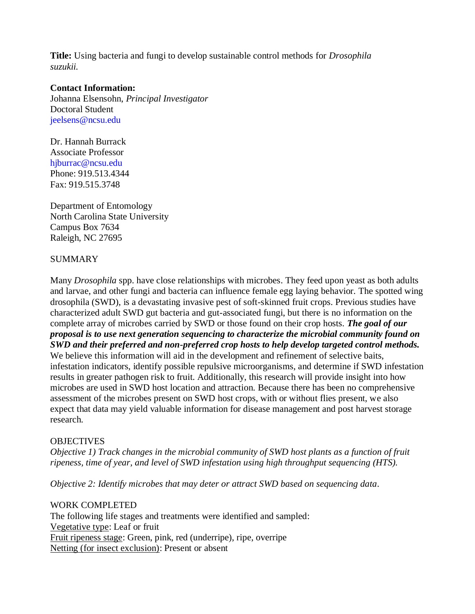**Title:** Using bacteria and fungi to develop sustainable control methods for *Drosophila suzukii.*

## **Contact Information:**

Johanna Elsensohn, *Principal Investigator* Doctoral Student jeelsens@ncsu.edu

Dr. Hannah Burrack Associate Professor hjburrac@ncsu.edu Phone: 919.513.4344 Fax: 919.515.3748

Department of Entomology North Carolina State University Campus Box 7634 Raleigh, NC 27695

### **SUMMARY**

Many *Drosophila* spp. have close relationships with microbes. They feed upon yeast as both adults and larvae, and other fungi and bacteria can influence female egg laying behavior. The spotted wing drosophila (SWD), is a devastating invasive pest of soft-skinned fruit crops. Previous studies have characterized adult SWD gut bacteria and gut-associated fungi, but there is no information on the complete array of microbes carried by SWD or those found on their crop hosts. *The goal of our proposal is to use next generation sequencing to characterize the microbial community found on SWD and their preferred and non-preferred crop hosts to help develop targeted control methods.* We believe this information will aid in the development and refinement of selective baits, infestation indicators, identify possible repulsive microorganisms, and determine if SWD infestation results in greater pathogen risk to fruit. Additionally, this research will provide insight into how microbes are used in SWD host location and attraction. Because there has been no comprehensive assessment of the microbes present on SWD host crops, with or without flies present, we also expect that data may yield valuable information for disease management and post harvest storage research.

#### **OBJECTIVES**

*Objective 1) Track changes in the microbial community of SWD host plants as a function of fruit ripeness, time of year, and level of SWD infestation using high throughput sequencing (HTS).*

*Objective 2: Identify microbes that may deter or attract SWD based on sequencing data.*

# WORK COMPLETED

The following life stages and treatments were identified and sampled: Vegetative type: Leaf or fruit Fruit ripeness stage: Green, pink, red (underripe), ripe, overripe Netting (for insect exclusion): Present or absent